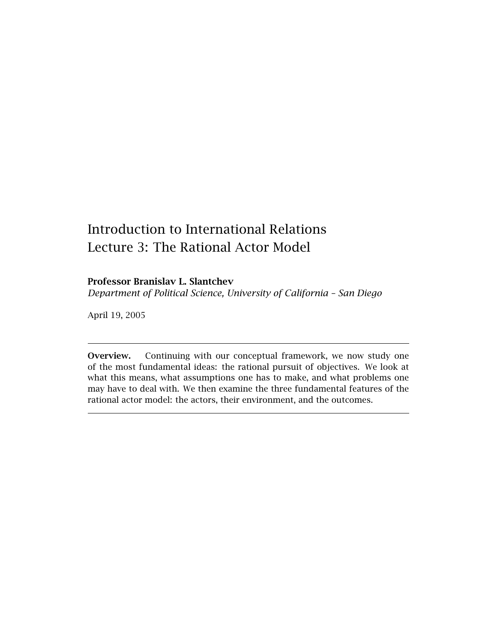# Introduction to International Relations Lecture 3: The Rational Actor Model

# **Professor Branislav L. Slantchev**

*Department of Political Science, University of California – San Diego*

April 19, 2005

**Overview.** Continuing with our conceptual framework, we now study one of the most fundamental ideas: the rational pursuit of objectives. We look at what this means, what assumptions one has to make, and what problems one may have to deal with. We then examine the three fundamental features of the rational actor model: the actors, their environment, and the outcomes.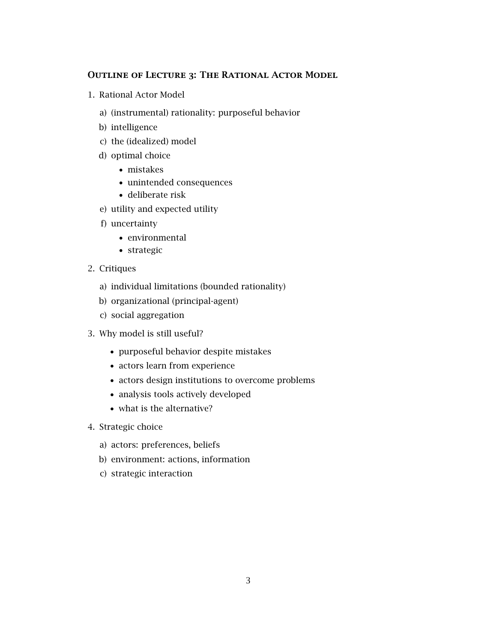# **Outline of Lecture 3: The Rational Actor Model**

- 1. Rational Actor Model
	- a) (instrumental) rationality: purposeful behavior
	- b) intelligence
	- c) the (idealized) model
	- d) optimal choice
		- *•* mistakes
		- *•* unintended consequences
		- *•* deliberate risk
	- e) utility and expected utility
	- f) uncertainty
		- *•* environmental
		- *•* strategic
- 2. Critiques
	- a) individual limitations (bounded rationality)
	- b) organizational (principal-agent)
	- c) social aggregation
- 3. Why model is still useful?
	- *•* purposeful behavior despite mistakes
	- *•* actors learn from experience
	- *•* actors design institutions to overcome problems
	- *•* analysis tools actively developed
	- *•* what is the alternative?
- 4. Strategic choice
	- a) actors: preferences, beliefs
	- b) environment: actions, information
	- c) strategic interaction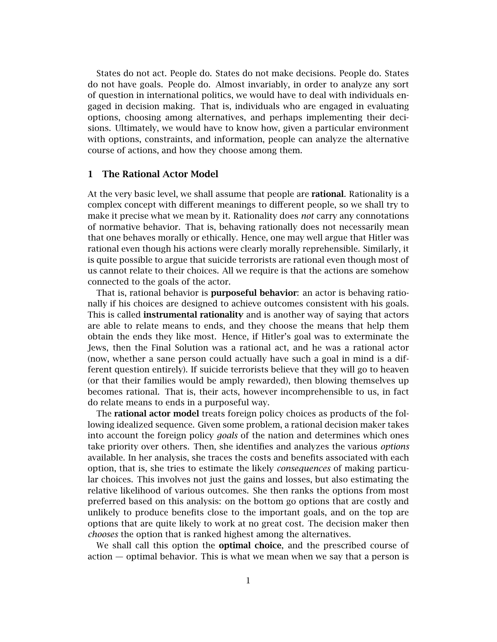States do not act. People do. States do not make decisions. People do. States do not have goals. People do. Almost invariably, in order to analyze any sort of question in international politics, we would have to deal with individuals engaged in decision making. That is, individuals who are engaged in evaluating options, choosing among alternatives, and perhaps implementing their decisions. Ultimately, we would have to know how, given a particular environment with options, constraints, and information, people can analyze the alternative course of actions, and how they choose among them.

## **1 The Rational Actor Model**

At the very basic level, we shall assume that people are **rational**. Rationality is a complex concept with different meanings to different people, so we shall try to make it precise what we mean by it. Rationality does *not* carry any connotations of normative behavior. That is, behaving rationally does not necessarily mean that one behaves morally or ethically. Hence, one may well argue that Hitler was rational even though his actions were clearly morally reprehensible. Similarly, it is quite possible to argue that suicide terrorists are rational even though most of us cannot relate to their choices. All we require is that the actions are somehow connected to the goals of the actor.

That is, rational behavior is **purposeful behavior**: an actor is behaving rationally if his choices are designed to achieve outcomes consistent with his goals. This is called **instrumental rationality** and is another way of saying that actors are able to relate means to ends, and they choose the means that help them obtain the ends they like most. Hence, if Hitler's goal was to exterminate the Jews, then the Final Solution was a rational act, and he was a rational actor (now, whether a sane person could actually have such a goal in mind is a different question entirely). If suicide terrorists believe that they will go to heaven (or that their families would be amply rewarded), then blowing themselves up becomes rational. That is, their acts, however incomprehensible to us, in fact do relate means to ends in a purposeful way.

The **rational actor model** treats foreign policy choices as products of the following idealized sequence. Given some problem, a rational decision maker takes into account the foreign policy *goals* of the nation and determines which ones take priority over others. Then, she identifies and analyzes the various *options* available. In her analysis, she traces the costs and benefits associated with each option, that is, she tries to estimate the likely *consequences* of making particular choices. This involves not just the gains and losses, but also estimating the relative likelihood of various outcomes. She then ranks the options from most preferred based on this analysis: on the bottom go options that are costly and unlikely to produce benefits close to the important goals, and on the top are options that are quite likely to work at no great cost. The decision maker then *chooses* the option that is ranked highest among the alternatives.

We shall call this option the **optimal choice**, and the prescribed course of action — optimal behavior. This is what we mean when we say that a person is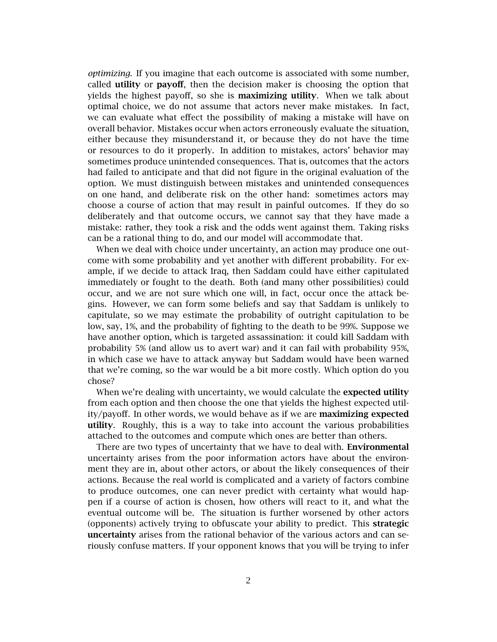*optimizing*. If you imagine that each outcome is associated with some number, called **utility** or **payoff**, then the decision maker is choosing the option that yields the highest payoff, so she is **maximizing utility**. When we talk about optimal choice, we do not assume that actors never make mistakes. In fact, we can evaluate what effect the possibility of making a mistake will have on overall behavior. Mistakes occur when actors erroneously evaluate the situation, either because they misunderstand it, or because they do not have the time or resources to do it properly. In addition to mistakes, actors' behavior may sometimes produce unintended consequences. That is, outcomes that the actors had failed to anticipate and that did not figure in the original evaluation of the option. We must distinguish between mistakes and unintended consequences on one hand, and deliberate risk on the other hand: sometimes actors may choose a course of action that may result in painful outcomes. If they do so deliberately and that outcome occurs, we cannot say that they have made a mistake: rather, they took a risk and the odds went against them. Taking risks can be a rational thing to do, and our model will accommodate that.

When we deal with choice under uncertainty, an action may produce one outcome with some probability and yet another with different probability. For example, if we decide to attack Iraq, then Saddam could have either capitulated immediately or fought to the death. Both (and many other possibilities) could occur, and we are not sure which one will, in fact, occur once the attack begins. However, we can form some beliefs and say that Saddam is unlikely to capitulate, so we may estimate the probability of outright capitulation to be low, say, 1%, and the probability of fighting to the death to be 99%. Suppose we have another option, which is targeted assassination: it could kill Saddam with probability 5% (and allow us to avert war) and it can fail with probability 95%, in which case we have to attack anyway but Saddam would have been warned that we're coming, so the war would be a bit more costly. Which option do you chose?

When we're dealing with uncertainty, we would calculate the **expected utility** from each option and then choose the one that yields the highest expected utility/payoff. In other words, we would behave as if we are **maximizing expected utility**. Roughly, this is a way to take into account the various probabilities attached to the outcomes and compute which ones are better than others.

There are two types of uncertainty that we have to deal with. **Environmental** uncertainty arises from the poor information actors have about the environment they are in, about other actors, or about the likely consequences of their actions. Because the real world is complicated and a variety of factors combine to produce outcomes, one can never predict with certainty what would happen if a course of action is chosen, how others will react to it, and what the eventual outcome will be. The situation is further worsened by other actors (opponents) actively trying to obfuscate your ability to predict. This **strategic uncertainty** arises from the rational behavior of the various actors and can seriously confuse matters. If your opponent knows that you will be trying to infer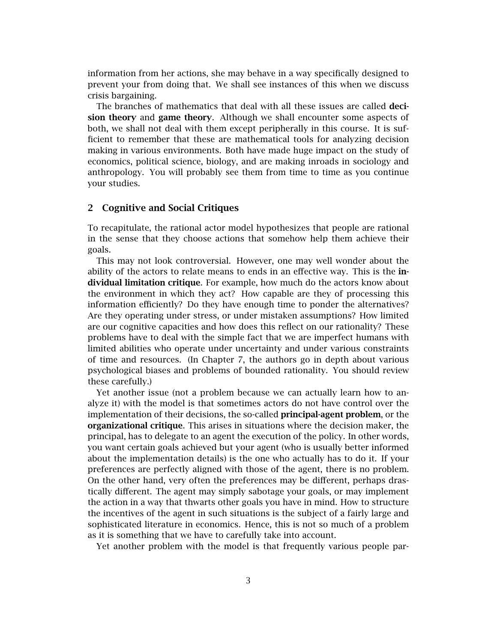information from her actions, she may behave in a way specifically designed to prevent your from doing that. We shall see instances of this when we discuss crisis bargaining.

The branches of mathematics that deal with all these issues are called **decision theory** and **game theory**. Although we shall encounter some aspects of both, we shall not deal with them except peripherally in this course. It is sufficient to remember that these are mathematical tools for analyzing decision making in various environments. Both have made huge impact on the study of economics, political science, biology, and are making inroads in sociology and anthropology. You will probably see them from time to time as you continue your studies.

## **2 Cognitive and Social Critiques**

To recapitulate, the rational actor model hypothesizes that people are rational in the sense that they choose actions that somehow help them achieve their goals.

This may not look controversial. However, one may well wonder about the ability of the actors to relate means to ends in an effective way. This is the **individual limitation critique**. For example, how much do the actors know about the environment in which they act? How capable are they of processing this information efficiently? Do they have enough time to ponder the alternatives? Are they operating under stress, or under mistaken assumptions? How limited are our cognitive capacities and how does this reflect on our rationality? These problems have to deal with the simple fact that we are imperfect humans with limited abilities who operate under uncertainty and under various constraints of time and resources. (In Chapter 7, the authors go in depth about various psychological biases and problems of bounded rationality. You should review these carefully.)

Yet another issue (not a problem because we can actually learn how to analyze it) with the model is that sometimes actors do not have control over the implementation of their decisions, the so-called **principal-agent problem**, or the **organizational critique**. This arises in situations where the decision maker, the principal, has to delegate to an agent the execution of the policy. In other words, you want certain goals achieved but your agent (who is usually better informed about the implementation details) is the one who actually has to do it. If your preferences are perfectly aligned with those of the agent, there is no problem. On the other hand, very often the preferences may be different, perhaps drastically different. The agent may simply sabotage your goals, or may implement the action in a way that thwarts other goals you have in mind. How to structure the incentives of the agent in such situations is the subject of a fairly large and sophisticated literature in economics. Hence, this is not so much of a problem as it is something that we have to carefully take into account.

Yet another problem with the model is that frequently various people par-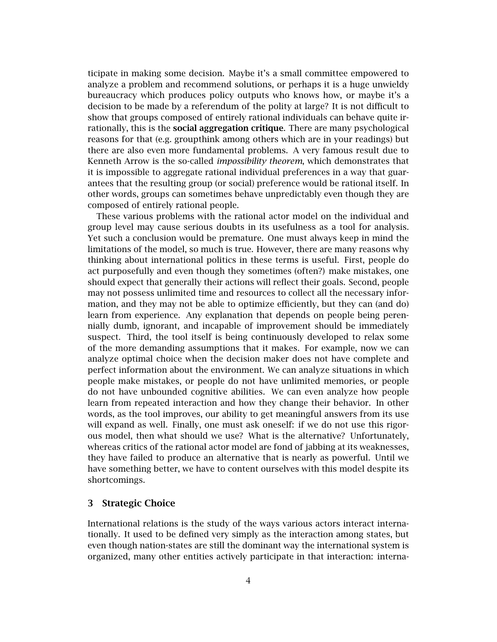ticipate in making some decision. Maybe it's a small committee empowered to analyze a problem and recommend solutions, or perhaps it is a huge unwieldy bureaucracy which produces policy outputs who knows how, or maybe it's a decision to be made by a referendum of the polity at large? It is not difficult to show that groups composed of entirely rational individuals can behave quite irrationally, this is the **social aggregation critique**. There are many psychological reasons for that (e.g. groupthink among others which are in your readings) but there are also even more fundamental problems. A very famous result due to Kenneth Arrow is the so-called *impossibility theorem*, which demonstrates that it is impossible to aggregate rational individual preferences in a way that guarantees that the resulting group (or social) preference would be rational itself. In other words, groups can sometimes behave unpredictably even though they are composed of entirely rational people.

These various problems with the rational actor model on the individual and group level may cause serious doubts in its usefulness as a tool for analysis. Yet such a conclusion would be premature. One must always keep in mind the limitations of the model, so much is true. However, there are many reasons why thinking about international politics in these terms is useful. First, people do act purposefully and even though they sometimes (often?) make mistakes, one should expect that generally their actions will reflect their goals. Second, people may not possess unlimited time and resources to collect all the necessary information, and they may not be able to optimize efficiently, but they can (and do) learn from experience. Any explanation that depends on people being perennially dumb, ignorant, and incapable of improvement should be immediately suspect. Third, the tool itself is being continuously developed to relax some of the more demanding assumptions that it makes. For example, now we can analyze optimal choice when the decision maker does not have complete and perfect information about the environment. We can analyze situations in which people make mistakes, or people do not have unlimited memories, or people do not have unbounded cognitive abilities. We can even analyze how people learn from repeated interaction and how they change their behavior. In other words, as the tool improves, our ability to get meaningful answers from its use will expand as well. Finally, one must ask oneself: if we do not use this rigorous model, then what should we use? What is the alternative? Unfortunately, whereas critics of the rational actor model are fond of jabbing at its weaknesses, they have failed to produce an alternative that is nearly as powerful. Until we have something better, we have to content ourselves with this model despite its shortcomings.

# **3 Strategic Choice**

International relations is the study of the ways various actors interact internationally. It used to be defined very simply as the interaction among states, but even though nation-states are still the dominant way the international system is organized, many other entities actively participate in that interaction: interna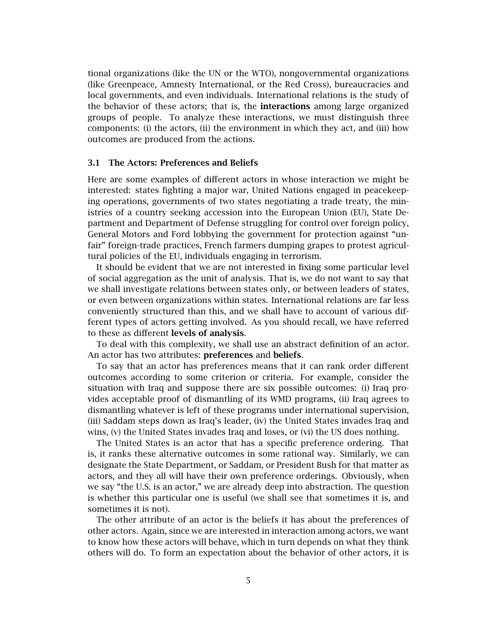tional organizations (like the UN or the WTO), nongovernmental organizations (like Greenpeace, Amnesty International, or the Red Cross), bureaucracies and local governments, and even individuals. International relations is the study of the behavior of these actors; that is, the **interactions** among large organized groups of people. To analyze these interactions, we must distinguish three components: (i) the actors, (ii) the environment in which they act, and (iii) how outcomes are produced from the actions.

### **3.1 The Actors: Preferences and Beliefs**

Here are some examples of different actors in whose interaction we might be interested: states fighting a major war, United Nations engaged in peacekeeping operations, governments of two states negotiating a trade treaty, the ministries of a country seeking accession into the European Union (EU), State Department and Department of Defense struggling for control over foreign policy, General Motors and Ford lobbying the government for protection against "unfair" foreign-trade practices, French farmers dumping grapes to protest agricultural policies of the EU, individuals engaging in terrorism.

It should be evident that we are not interested in fixing some particular level of social aggregation as the unit of analysis. That is, we do not want to say that we shall investigate relations between states only, or between leaders of states, or even between organizations within states. International relations are far less conveniently structured than this, and we shall have to account of various different types of actors getting involved. As you should recall, we have referred to these as different **levels of analysis**.

To deal with this complexity, we shall use an abstract definition of an actor. An actor has two attributes: **preferences** and **beliefs**.

To say that an actor has preferences means that it can rank order different outcomes according to some criterion or criteria. For example, consider the situation with Iraq and suppose there are six possible outcomes: (i) Iraq provides acceptable proof of dismantling of its WMD programs, (ii) Iraq agrees to dismantling whatever is left of these programs under international supervision, (iii) Saddam steps down as Iraq's leader, (iv) the United States invades Iraq and wins, (v) the United States invades Iraq and loses, or (vi) the US does nothing.

The United States is an actor that has a specific preference ordering. That is, it ranks these alternative outcomes in some rational way. Similarly, we can designate the State Department, or Saddam, or President Bush for that matter as actors, and they all will have their own preference orderings. Obviously, when we say "the U.S. is an actor," we are already deep into abstraction. The question is whether this particular one is useful (we shall see that sometimes it is, and sometimes it is not).

The other attribute of an actor is the beliefs it has about the preferences of other actors. Again, since we are interested in interaction among actors, we want to know how these actors will behave, which in turn depends on what they think others will do. To form an expectation about the behavior of other actors, it is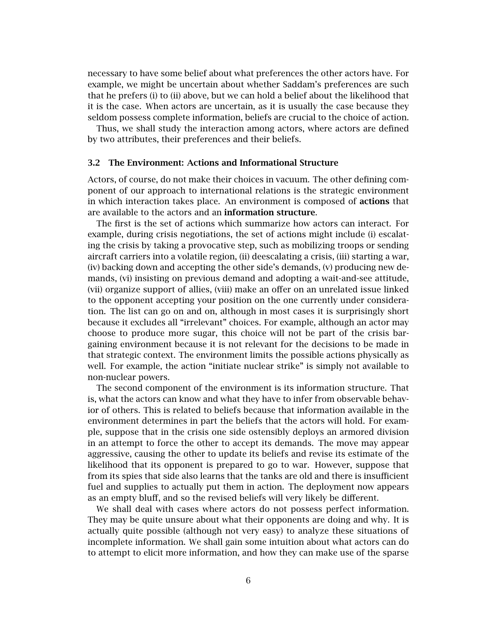necessary to have some belief about what preferences the other actors have. For example, we might be uncertain about whether Saddam's preferences are such that he prefers (i) to (ii) above, but we can hold a belief about the likelihood that it is the case. When actors are uncertain, as it is usually the case because they seldom possess complete information, beliefs are crucial to the choice of action.

Thus, we shall study the interaction among actors, where actors are defined by two attributes, their preferences and their beliefs.

### **3.2 The Environment: Actions and Informational Structure**

Actors, of course, do not make their choices in vacuum. The other defining component of our approach to international relations is the strategic environment in which interaction takes place. An environment is composed of **actions** that are available to the actors and an **information structure**.

The first is the set of actions which summarize how actors can interact. For example, during crisis negotiations, the set of actions might include (i) escalating the crisis by taking a provocative step, such as mobilizing troops or sending aircraft carriers into a volatile region, (ii) deescalating a crisis, (iii) starting a war, (iv) backing down and accepting the other side's demands, (v) producing new demands, (vi) insisting on previous demand and adopting a wait-and-see attitude, (vii) organize support of allies, (viii) make an offer on an unrelated issue linked to the opponent accepting your position on the one currently under consideration. The list can go on and on, although in most cases it is surprisingly short because it excludes all "irrelevant" choices. For example, although an actor may choose to produce more sugar, this choice will not be part of the crisis bargaining environment because it is not relevant for the decisions to be made in that strategic context. The environment limits the possible actions physically as well. For example, the action "initiate nuclear strike" is simply not available to non-nuclear powers.

The second component of the environment is its information structure. That is, what the actors can know and what they have to infer from observable behavior of others. This is related to beliefs because that information available in the environment determines in part the beliefs that the actors will hold. For example, suppose that in the crisis one side ostensibly deploys an armored division in an attempt to force the other to accept its demands. The move may appear aggressive, causing the other to update its beliefs and revise its estimate of the likelihood that its opponent is prepared to go to war. However, suppose that from its spies that side also learns that the tanks are old and there is insufficient fuel and supplies to actually put them in action. The deployment now appears as an empty bluff, and so the revised beliefs will very likely be different.

We shall deal with cases where actors do not possess perfect information. They may be quite unsure about what their opponents are doing and why. It is actually quite possible (although not very easy) to analyze these situations of incomplete information. We shall gain some intuition about what actors can do to attempt to elicit more information, and how they can make use of the sparse